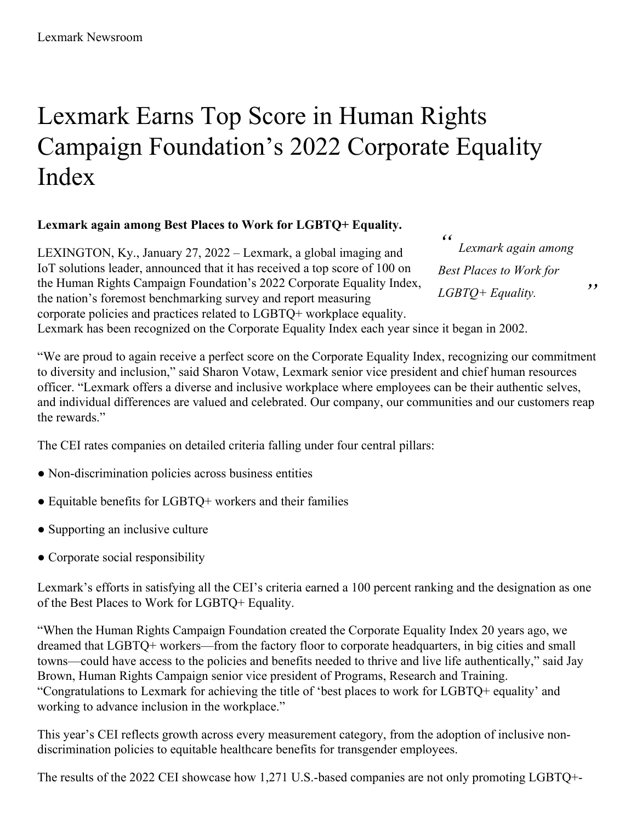## Lexmark Earns Top Score in Human Rights Campaign Foundation's 2022 Corporate Equality Index

## **Lexmark again among Best Places to Work for LGBTQ+ Equality.**

LEXINGTON, Ky., January 27, 2022 – Lexmark, a global imaging and IoT solutions leader, announced that it has received a top score of 100 on the Human Rights Campaign Foundation's 2022 Corporate Equality Index, the nation's foremost benchmarking survey and report measuring corporate policies and practices related to LGBTQ+ workplace equality.

*" Lexmark again among Best Places to Work for LGBTQ+ Equality.*

*"*

Lexmark has been recognized on the Corporate Equality Index each year since it began in 2002.

"We are proud to again receive a perfect score on the Corporate Equality Index, recognizing our commitment to diversity and inclusion," said Sharon Votaw, Lexmark senior vice president and chief human resources officer. "Lexmark offers a diverse and inclusive workplace where employees can be their authentic selves, and individual differences are valued and celebrated. Our company, our communities and our customers reap the rewards."

The CEI rates companies on detailed criteria falling under four central pillars:

- Non-discrimination policies across business entities
- Equitable benefits for LGBTQ+ workers and their families
- Supporting an inclusive culture
- Corporate social responsibility

Lexmark's efforts in satisfying all the CEI's criteria earned a 100 percent ranking and the designation as one of the Best Places to Work for LGBTQ+ Equality.

"When the Human Rights Campaign Foundation created the Corporate Equality Index 20 years ago, we dreamed that LGBTQ+ workers—from the factory floor to corporate headquarters, in big cities and small towns—could have access to the policies and benefits needed to thrive and live life authentically," said Jay Brown, Human Rights Campaign senior vice president of Programs, Research and Training. "Congratulations to Lexmark for achieving the title of 'best places to work for LGBTQ+ equality' and working to advance inclusion in the workplace."

This year's CEI reflects growth across every measurement category, from the adoption of inclusive nondiscrimination policies to equitable healthcare benefits for transgender employees.

The results of the 2022 CEI showcase how 1,271 U.S.-based companies are not only promoting LGBTQ+-